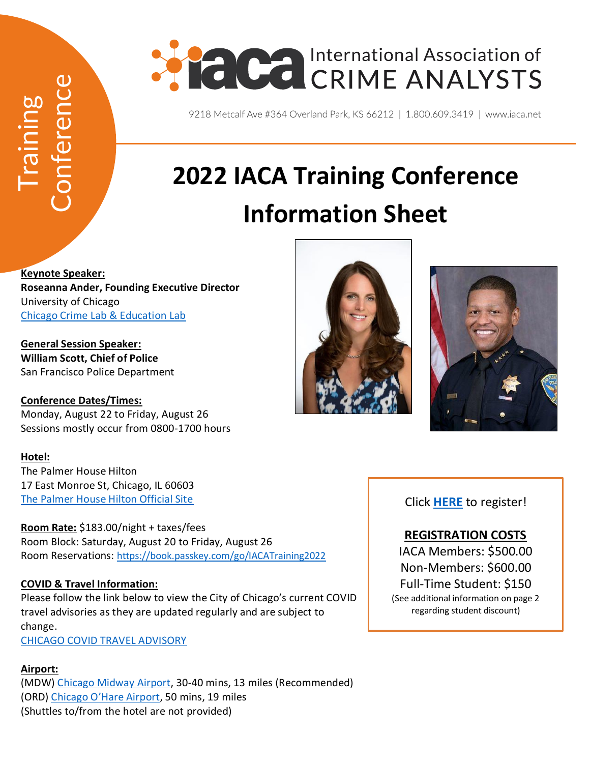

# **2022 IACA Training Conference Information Sheet**

**Keynote Speaker: Roseanna Ander, Founding Executive Director** University of Chicago [Chicago Crime Lab & Education Lab](https://urbanlabs.uchicago.edu/people/roseanna-ander-1f56776b-b913-46bb-9b30-63df7cae7711) (Shuttles to From the hotel are not prior)<br>
(Shuttles to Conference Ministers of the hotel are not provided)<br>
(Shuttles to Conference Data & Education Lab<br>
(Shuttles for Police Department<br>
Conference Dates/Times:<br>
Milliam

**General Session Speaker: William Scott, Chief of Police** San Francisco Police Department

**Conference Dates/Times:** Monday, August 22 to Friday, August 26 Sessions mostly occur from 0800-1700 hours

### **Hotel:**

The Palmer House Hilton 17 East Monroe St, Chicago, IL 60603 [The Palmer House Hilton Official Site](https://www.palmerhousehiltonhotel.com/)

**Room Rate:** \$183.00/night + taxes/fees Room Block: Saturday, August 20 to Friday, August 26 Room Reservations: [https://book.passkey.com/go/IACATraining2022](https://gcc02.safelinks.protection.outlook.com/?url=https%3A%2F%2Fbook.passkey.com%2Fgo%2FIACATraining2022&data=04%7C01%7C%7C9bbe31ebb6a74d3df40608d9ec0a2e96%7C5470d25822a54cb9bfa68abec727e49d%7C1%7C0%7C637800350769150948%7CUnknown%7CTWFpbGZsb3d8eyJWIjoiMC4wLjAwMDAiLCJQIjoiV2luMzIiLCJBTiI6Ik1haWwiLCJXVCI6Mn0%3D%7C3000&sdata=H8LPObXjs2pSMSWcY%2FiyjoJlR%2FyHy2LJXbdiqK5ex00%3D&reserved=0)

### **COVID & Travel Information:**

Please follow the link below to view the City of Chicago's current COVID travel advisories as they are updated regularly and are subject to change.

[CHICAGO COVID TRAVEL ADVISORY](https://www.chicago.gov/city/en/sites/covid-19/home/emergency-travel-order.html)

### **Airport:**

(MDW) [Chicago Midway Airport,](https://www.flychicago.com/midway/home/pages/default.aspx) 30-40 mins, 13 miles (Recommended) (ORD) [Chicago O'Hare Airport](https://www.flychicago.com/ohare/home/pages/default.aspx), 50 mins, 19 miles





Click **[HERE](https://web.cvent.com/event/5e9f1625-ab2f-4d83-bb3b-2d24b43ebcd3/summary)** to register!

## **REGISTRATION COSTS**

IACA Members: \$500.00 Non-Members: \$600.00 Full-Time Student: \$150 (See additional information on page 2 regarding student discount)